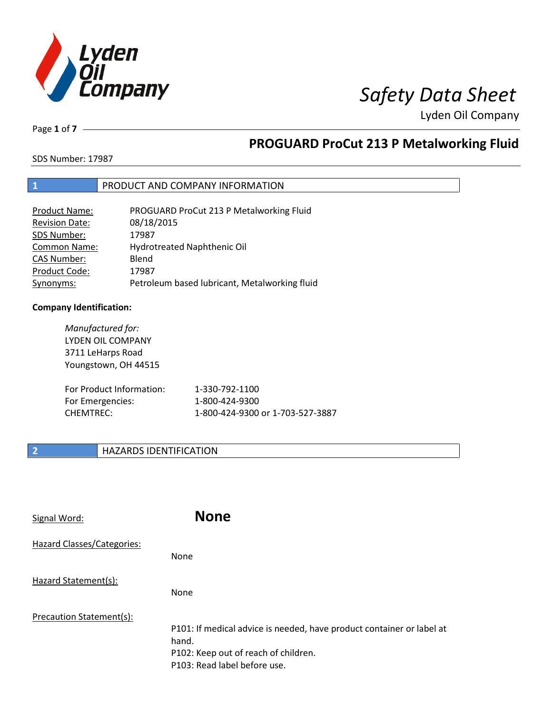

Page **1** of **7**

# **PROGUARD ProCut 213 P Metalworking Fluid**

SDS Number: 17987

## **1** PRODUCT AND COMPANY INFORMATION

| <b>Product Name:</b>  | PROGUARD ProCut 213 P Metalworking Fluid      |
|-----------------------|-----------------------------------------------|
| <b>Revision Date:</b> | 08/18/2015                                    |
| SDS Number:           | 17987                                         |
| Common Name:          | Hydrotreated Naphthenic Oil                   |
| <b>CAS Number:</b>    | Blend                                         |
| Product Code:         | 17987                                         |
| Synonyms:             | Petroleum based lubricant, Metalworking fluid |

## **Company Identification:**

*Manufactured for:* LYDEN OIL COMPANY 3711 LeHarps Road Youngstown, OH 44515 For Product Information: 1-330-792-1100 For Emergencies: 1-800-424-9300 CHEMTREC: 1-800-424-9300 or 1-703-527-3887

## **2 HAZARDS IDENTIFICATION**

| Signal Word:               | <b>None</b>                                                                                                                                            |
|----------------------------|--------------------------------------------------------------------------------------------------------------------------------------------------------|
| Hazard Classes/Categories: | None                                                                                                                                                   |
| Hazard Statement(s):       | None                                                                                                                                                   |
| Precaution Statement(s):   | P101: If medical advice is needed, have product container or label at<br>hand.<br>P102: Keep out of reach of children.<br>P103: Read label before use. |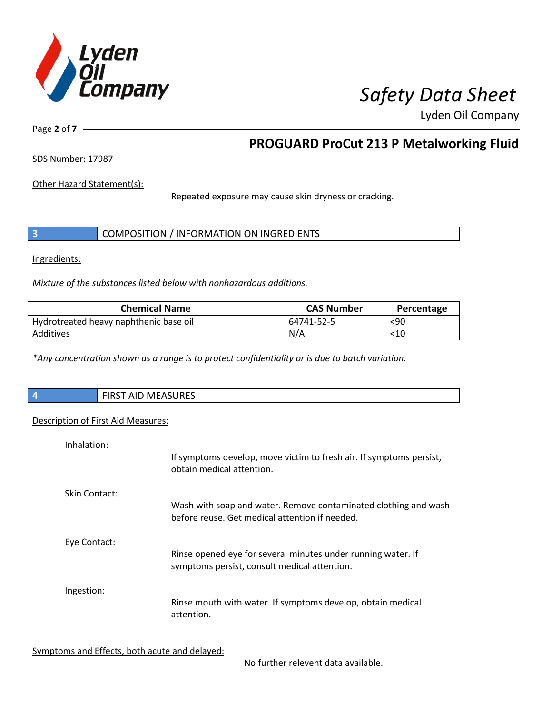

Page **2** of **7**

## **PROGUARD ProCut 213 P Metalworking Fluid**

SDS Number: 17987

Other Hazard Statement(s):

Repeated exposure may cause skin dryness or cracking.

|  | COMPOSITION / INFORMATION ON INGREDIENTS |
|--|------------------------------------------|
|--|------------------------------------------|

Ingredients:

*Mixture of the substances listed below with nonhazardous additions.*

| <b>Chemical Name</b>                   | <b>CAS Number</b> | Percentage |
|----------------------------------------|-------------------|------------|
| Hydrotreated heavy naphthenic base oil | 64741-52-5        | $90$       |
| Additives                              | N/A               | $<$ 10     |

*\*Any concentration shown as a range is to protect confidentiality or is due to batch variation.*

| <b>MEASURES</b><br><b>AID</b><br><b>FIRST</b> |
|-----------------------------------------------|
|                                               |

### Description of First Aid Measures:

| Inhalation:   | If symptoms develop, move victim to fresh air. If symptoms persist,<br>obtain medical attention.                  |
|---------------|-------------------------------------------------------------------------------------------------------------------|
| Skin Contact: | Wash with soap and water. Remove contaminated clothing and wash<br>before reuse. Get medical attention if needed. |
| Eye Contact:  | Rinse opened eye for several minutes under running water. If<br>symptoms persist, consult medical attention.      |
| Ingestion:    | Rinse mouth with water. If symptoms develop, obtain medical<br>attention.                                         |

Symptoms and Effects, both acute and delayed:

No further relevent data available.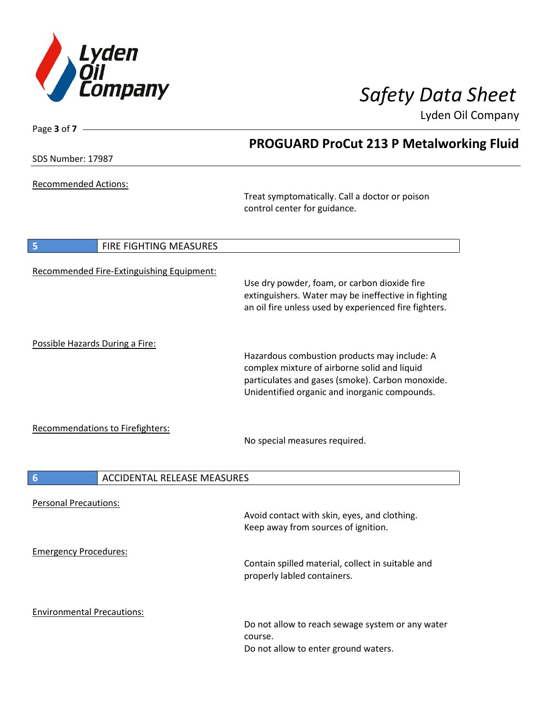

| Page $3$ of $7 -$                                     |                                                                                                                                                                                                   |
|-------------------------------------------------------|---------------------------------------------------------------------------------------------------------------------------------------------------------------------------------------------------|
|                                                       | <b>PROGUARD ProCut 213 P Metalworking Fluid</b>                                                                                                                                                   |
| SDS Number: 17987                                     |                                                                                                                                                                                                   |
| <b>Recommended Actions:</b>                           | Treat symptomatically. Call a doctor or poison<br>control center for guidance.                                                                                                                    |
| FIRE FIGHTING MEASURES<br>5                           |                                                                                                                                                                                                   |
| Recommended Fire-Extinguishing Equipment:             | Use dry powder, foam, or carbon dioxide fire<br>extinguishers. Water may be ineffective in fighting<br>an oil fire unless used by experienced fire fighters.                                      |
| Possible Hazards During a Fire:                       | Hazardous combustion products may include: A<br>complex mixture of airborne solid and liquid<br>particulates and gases (smoke). Carbon monoxide.<br>Unidentified organic and inorganic compounds. |
| <b>Recommendations to Firefighters:</b>               | No special measures required.                                                                                                                                                                     |
| $6\phantom{1}6$<br><b>ACCIDENTAL RELEASE MEASURES</b> |                                                                                                                                                                                                   |
| <b>Personal Precautions:</b>                          | Avoid contact with skin, eyes, and clothing.<br>Keep away from sources of ignition.                                                                                                               |
| <b>Emergency Procedures:</b>                          | Contain spilled material, collect in suitable and<br>properly labled containers.                                                                                                                  |
| <b>Environmental Precautions:</b>                     | Do not allow to reach sewage system or any water<br>course.<br>Do not allow to enter ground waters.                                                                                               |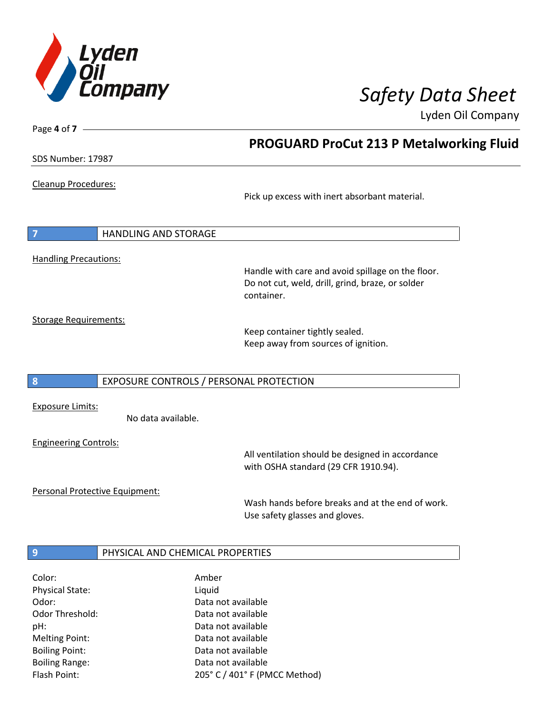

SDS Number: 17987

Page **4** of **7**

Cleanup Procedures:

Pick up excess with inert absorbant material.

**PROGUARD ProCut 213 P Metalworking Fluid**

**7** HANDLING AND STORAGE Handling Precautions:

> Handle with care and avoid spillage on the floor. Do not cut, weld, drill, grind, braze, or solder container.

Storage Requirements:

Keep container tightly sealed. Keep away from sources of ignition.

### **8** EXPOSURE CONTROLS / PERSONAL PROTECTION

Exposure Limits:

No data available.

Engineering Controls:

All ventilation should be designed in accordance with OSHA standard (29 CFR 1910.94).

Personal Protective Equipment:

Wash hands before breaks and at the end of work. Use safety glasses and gloves.

## **9 PHYSICAL AND CHEMICAL PROPERTIES**

| Color:                 | Amber                         |
|------------------------|-------------------------------|
| <b>Physical State:</b> | Liquid                        |
| Odor:                  | Data not available            |
| <b>Odor Threshold:</b> | Data not available            |
| pH:                    | Data not available            |
| <b>Melting Point:</b>  | Data not available            |
| <b>Boiling Point:</b>  | Data not available            |
| <b>Boiling Range:</b>  | Data not available            |
| Flash Point:           | 205° C / 401° F (PMCC Method) |
|                        |                               |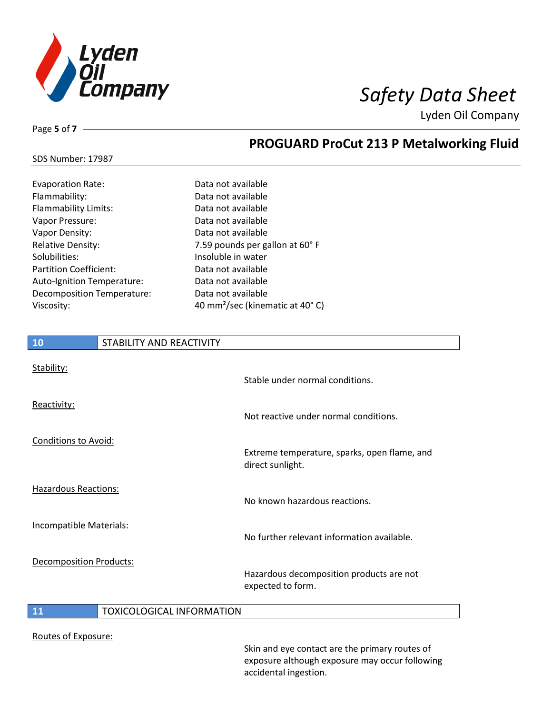

Page **5** of **7**

## **PROGUARD ProCut 213 P Metalworking Fluid**

| <b>SDS Number: 17987</b> |  |
|--------------------------|--|
|--------------------------|--|

| Data not available                          |
|---------------------------------------------|
| Data not available                          |
| Data not available                          |
| Data not available                          |
| Data not available                          |
| 7.59 pounds per gallon at 60° F             |
| Insoluble in water                          |
| Data not available                          |
| Data not available                          |
| Data not available                          |
| 40 mm <sup>2</sup> /sec (kinematic at 40°C) |
|                                             |

# **10** STABILITY AND REACTIVITY Stability: Stable under normal conditions. Reactivity: Not reactive under normal conditions. Conditions to Avoid: Extreme temperature, sparks, open flame, and direct sunlight. Hazardous Reactions: No known hazardous reactions. Incompatible Materials: No further relevant information available. Decomposition Products: Hazardous decomposition products are not expected to form. **11** TOXICOLOGICAL INFORMATION Routes of Exposure:

Skin and eye contact are the primary routes of exposure although exposure may occur following accidental ingestion.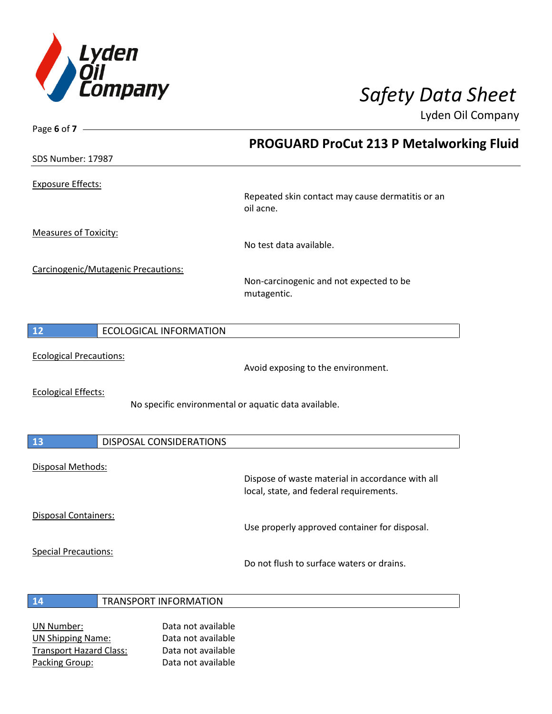

Page **6** of **7**

Lyden Oil Company

|                                      | <b>PROGUARD ProCut 213 P Metalworking Fluid</b>                                             |
|--------------------------------------|---------------------------------------------------------------------------------------------|
| SDS Number: 17987                    |                                                                                             |
| <b>Exposure Effects:</b>             |                                                                                             |
|                                      | Repeated skin contact may cause dermatitis or an<br>oil acne.                               |
| <b>Measures of Toxicity:</b>         |                                                                                             |
|                                      | No test data available.                                                                     |
| Carcinogenic/Mutagenic Precautions:  | Non-carcinogenic and not expected to be<br>mutagentic.                                      |
| 12<br><b>ECOLOGICAL INFORMATION</b>  |                                                                                             |
| <b>Ecological Precautions:</b>       |                                                                                             |
|                                      | Avoid exposing to the environment.                                                          |
| <b>Ecological Effects:</b>           | No specific environmental or aquatic data available.                                        |
| <b>13</b><br>DISPOSAL CONSIDERATIONS |                                                                                             |
| Disposal Methods:                    |                                                                                             |
|                                      | Dispose of waste material in accordance with all<br>local, state, and federal requirements. |
| Disposal Containers:                 |                                                                                             |
|                                      | Use properly approved container for disposal.                                               |
| <b>Special Precautions:</b>          | Do not flush to surface waters or drains.                                                   |
| <b>TRANSPORT INFORMATION</b><br>14   |                                                                                             |
|                                      |                                                                                             |

UN Number: Data not available UN Shipping Name: Data not available Transport Hazard Class: Data not available Packing Group: Data not available